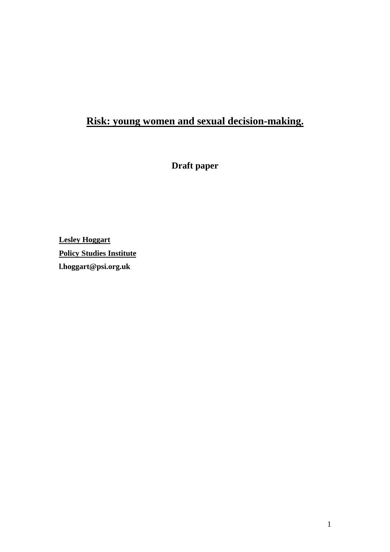# **Risk: young women and sexual decision-making.**

**Draft paper** 

**Lesley Hoggart Policy Studies Institute l.hoggart@psi.org.uk**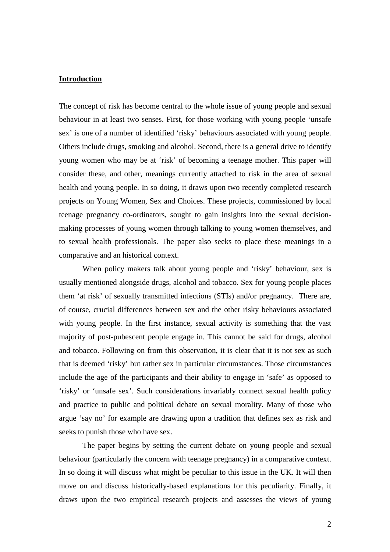#### **Introduction**

The concept of risk has become central to the whole issue of young people and sexual behaviour in at least two senses. First, for those working with young people 'unsafe sex' is one of a number of identified 'risky' behaviours associated with young people. Others include drugs, smoking and alcohol. Second, there is a general drive to identify young women who may be at 'risk' of becoming a teenage mother. This paper will consider these, and other, meanings currently attached to risk in the area of sexual health and young people. In so doing, it draws upon two recently completed research projects on Young Women, Sex and Choices. These projects, commissioned by local teenage pregnancy co-ordinators, sought to gain insights into the sexual decisionmaking processes of young women through talking to young women themselves, and to sexual health professionals. The paper also seeks to place these meanings in a comparative and an historical context.

When policy makers talk about young people and 'risky' behaviour, sex is usually mentioned alongside drugs, alcohol and tobacco. Sex for young people places them 'at risk' of sexually transmitted infections (STIs) and/or pregnancy. There are, of course, crucial differences between sex and the other risky behaviours associated with young people. In the first instance, sexual activity is something that the vast majority of post-pubescent people engage in. This cannot be said for drugs, alcohol and tobacco. Following on from this observation, it is clear that it is not sex as such that is deemed 'risky' but rather sex in particular circumstances. Those circumstances include the age of the participants and their ability to engage in 'safe' as opposed to 'risky' or 'unsafe sex'. Such considerations invariably connect sexual health policy and practice to public and political debate on sexual morality. Many of those who argue 'say no' for example are drawing upon a tradition that defines sex as risk and seeks to punish those who have sex.

The paper begins by setting the current debate on young people and sexual behaviour (particularly the concern with teenage pregnancy) in a comparative context. In so doing it will discuss what might be peculiar to this issue in the UK. It will then move on and discuss historically-based explanations for this peculiarity. Finally, it draws upon the two empirical research projects and assesses the views of young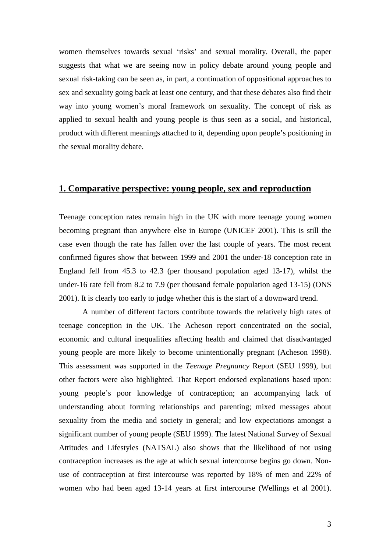women themselves towards sexual 'risks' and sexual morality. Overall, the paper suggests that what we are seeing now in policy debate around young people and sexual risk-taking can be seen as, in part, a continuation of oppositional approaches to sex and sexuality going back at least one century, and that these debates also find their way into young women's moral framework on sexuality. The concept of risk as applied to sexual health and young people is thus seen as a social, and historical, product with different meanings attached to it, depending upon people's positioning in the sexual morality debate.

## **1. Comparative perspective: young people, sex and reproduction**

Teenage conception rates remain high in the UK with more teenage young women becoming pregnant than anywhere else in Europe (UNICEF 2001). This is still the case even though the rate has fallen over the last couple of years. The most recent confirmed figures show that between 1999 and 2001 the under-18 conception rate in England fell from 45.3 to 42.3 (per thousand population aged 13-17), whilst the under-16 rate fell from 8.2 to 7.9 (per thousand female population aged 13-15) (ONS 2001). It is clearly too early to judge whether this is the start of a downward trend.

A number of different factors contribute towards the relatively high rates of teenage conception in the UK. The Acheson report concentrated on the social, economic and cultural inequalities affecting health and claimed that disadvantaged young people are more likely to become unintentionally pregnant (Acheson 1998). This assessment was supported in the *Teenage Pregnancy* Report (SEU 1999), but other factors were also highlighted. That Report endorsed explanations based upon: young people's poor knowledge of contraception; an accompanying lack of understanding about forming relationships and parenting; mixed messages about sexuality from the media and society in general; and low expectations amongst a significant number of young people (SEU 1999). The latest National Survey of Sexual Attitudes and Lifestyles (NATSAL) also shows that the likelihood of not using contraception increases as the age at which sexual intercourse begins go down. Nonuse of contraception at first intercourse was reported by 18% of men and 22% of women who had been aged 13-14 years at first intercourse (Wellings et al 2001).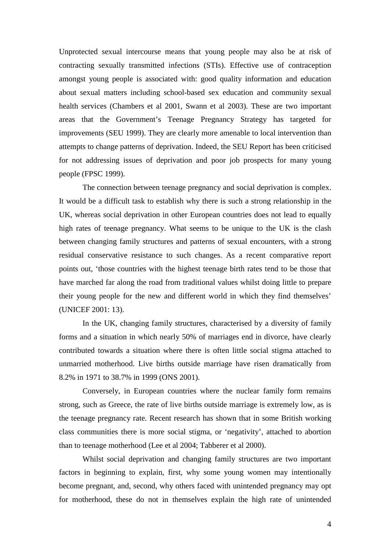Unprotected sexual intercourse means that young people may also be at risk of contracting sexually transmitted infections (STIs). Effective use of contraception amongst young people is associated with: good quality information and education about sexual matters including school-based sex education and community sexual health services (Chambers et al 2001, Swann et al 2003). These are two important areas that the Government's Teenage Pregnancy Strategy has targeted for improvements (SEU 1999). They are clearly more amenable to local intervention than attempts to change patterns of deprivation. Indeed, the SEU Report has been criticised for not addressing issues of deprivation and poor job prospects for many young people (FPSC 1999).

 The connection between teenage pregnancy and social deprivation is complex. It would be a difficult task to establish why there is such a strong relationship in the UK, whereas social deprivation in other European countries does not lead to equally high rates of teenage pregnancy. What seems to be unique to the UK is the clash between changing family structures and patterns of sexual encounters, with a strong residual conservative resistance to such changes. As a recent comparative report points out, 'those countries with the highest teenage birth rates tend to be those that have marched far along the road from traditional values whilst doing little to prepare their young people for the new and different world in which they find themselves' (UNICEF 2001: 13).

In the UK, changing family structures, characterised by a diversity of family forms and a situation in which nearly 50% of marriages end in divorce, have clearly contributed towards a situation where there is often little social stigma attached to unmarried motherhood. Live births outside marriage have risen dramatically from 8.2% in 1971 to 38.7% in 1999 (ONS 2001).

Conversely, in European countries where the nuclear family form remains strong, such as Greece, the rate of live births outside marriage is extremely low, as is the teenage pregnancy rate. Recent research has shown that in some British working class communities there is more social stigma, or 'negativity', attached to abortion than to teenage motherhood (Lee et al 2004; Tabberer et al 2000).

 Whilst social deprivation and changing family structures are two important factors in beginning to explain, first, why some young women may intentionally become pregnant, and, second, why others faced with unintended pregnancy may opt for motherhood, these do not in themselves explain the high rate of unintended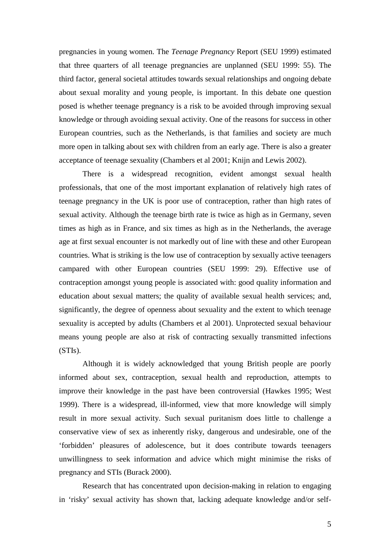pregnancies in young women. The *Teenage Pregnancy* Report (SEU 1999) estimated that three quarters of all teenage pregnancies are unplanned (SEU 1999: 55). The third factor, general societal attitudes towards sexual relationships and ongoing debate about sexual morality and young people, is important. In this debate one question posed is whether teenage pregnancy is a risk to be avoided through improving sexual knowledge or through avoiding sexual activity. One of the reasons for success in other European countries, such as the Netherlands, is that families and society are much more open in talking about sex with children from an early age. There is also a greater acceptance of teenage sexuality (Chambers et al 2001; Knijn and Lewis 2002).

There is a widespread recognition, evident amongst sexual health professionals, that one of the most important explanation of relatively high rates of teenage pregnancy in the UK is poor use of contraception, rather than high rates of sexual activity. Although the teenage birth rate is twice as high as in Germany, seven times as high as in France, and six times as high as in the Netherlands, the average age at first sexual encounter is not markedly out of line with these and other European countries. What is striking is the low use of contraception by sexually active teenagers campared with other European countries (SEU 1999: 29). Effective use of contraception amongst young people is associated with: good quality information and education about sexual matters; the quality of available sexual health services; and, significantly, the degree of openness about sexuality and the extent to which teenage sexuality is accepted by adults (Chambers et al 2001). Unprotected sexual behaviour means young people are also at risk of contracting sexually transmitted infections (STIs).

 Although it is widely acknowledged that young British people are poorly informed about sex, contraception, sexual health and reproduction, attempts to improve their knowledge in the past have been controversial (Hawkes 1995; West 1999). There is a widespread, ill-informed, view that more knowledge will simply result in more sexual activity. Such sexual puritanism does little to challenge a conservative view of sex as inherently risky, dangerous and undesirable, one of the 'forbidden' pleasures of adolescence, but it does contribute towards teenagers unwillingness to seek information and advice which might minimise the risks of pregnancy and STIs (Burack 2000).

Research that has concentrated upon decision-making in relation to engaging in 'risky' sexual activity has shown that, lacking adequate knowledge and/or self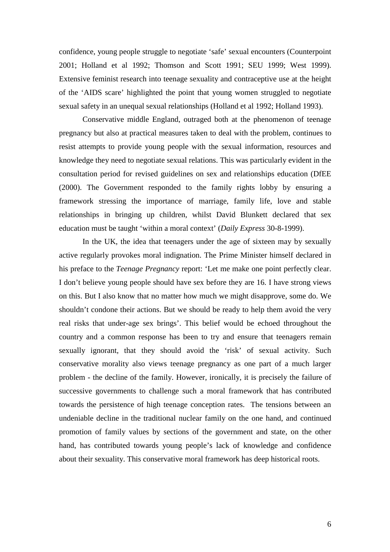confidence, young people struggle to negotiate 'safe' sexual encounters (Counterpoint 2001; Holland et al 1992; Thomson and Scott 1991; SEU 1999; West 1999). Extensive feminist research into teenage sexuality and contraceptive use at the height of the 'AIDS scare' highlighted the point that young women struggled to negotiate sexual safety in an unequal sexual relationships (Holland et al 1992; Holland 1993).

 Conservative middle England, outraged both at the phenomenon of teenage pregnancy but also at practical measures taken to deal with the problem, continues to resist attempts to provide young people with the sexual information, resources and knowledge they need to negotiate sexual relations. This was particularly evident in the consultation period for revised guidelines on sex and relationships education (DfEE (2000). The Government responded to the family rights lobby by ensuring a framework stressing the importance of marriage, family life, love and stable relationships in bringing up children, whilst David Blunkett declared that sex education must be taught 'within a moral context' (*Daily Express* 30-8-1999).

In the UK, the idea that teenagers under the age of sixteen may by sexually active regularly provokes moral indignation. The Prime Minister himself declared in his preface to the *Teenage Pregnancy* report: 'Let me make one point perfectly clear. I don't believe young people should have sex before they are 16. I have strong views on this. But I also know that no matter how much we might disapprove, some do. We shouldn't condone their actions. But we should be ready to help them avoid the very real risks that under-age sex brings'. This belief would be echoed throughout the country and a common response has been to try and ensure that teenagers remain sexually ignorant, that they should avoid the 'risk' of sexual activity. Such conservative morality also views teenage pregnancy as one part of a much larger problem - the decline of the family. However, ironically, it is precisely the failure of successive governments to challenge such a moral framework that has contributed towards the persistence of high teenage conception rates. The tensions between an undeniable decline in the traditional nuclear family on the one hand, and continued promotion of family values by sections of the government and state, on the other hand, has contributed towards young people's lack of knowledge and confidence about their sexuality. This conservative moral framework has deep historical roots.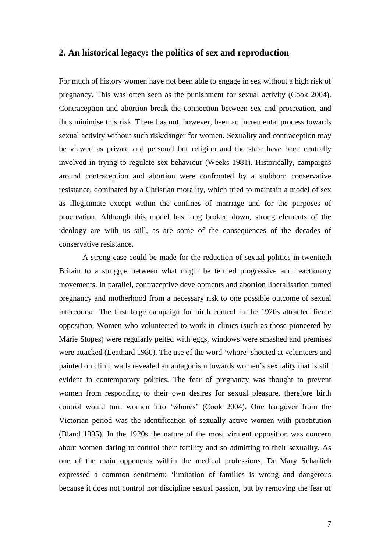### **2. An historical legacy: the politics of sex and reproduction**

For much of history women have not been able to engage in sex without a high risk of pregnancy. This was often seen as the punishment for sexual activity (Cook 2004). Contraception and abortion break the connection between sex and procreation, and thus minimise this risk. There has not, however, been an incremental process towards sexual activity without such risk/danger for women. Sexuality and contraception may be viewed as private and personal but religion and the state have been centrally involved in trying to regulate sex behaviour (Weeks 1981). Historically, campaigns around contraception and abortion were confronted by a stubborn conservative resistance, dominated by a Christian morality, which tried to maintain a model of sex as illegitimate except within the confines of marriage and for the purposes of procreation. Although this model has long broken down, strong elements of the ideology are with us still, as are some of the consequences of the decades of conservative resistance.

A strong case could be made for the reduction of sexual politics in twentieth Britain to a struggle between what might be termed progressive and reactionary movements. In parallel, contraceptive developments and abortion liberalisation turned pregnancy and motherhood from a necessary risk to one possible outcome of sexual intercourse. The first large campaign for birth control in the 1920s attracted fierce opposition. Women who volunteered to work in clinics (such as those pioneered by Marie Stopes) were regularly pelted with eggs, windows were smashed and premises were attacked (Leathard 1980). The use of the word 'whore' shouted at volunteers and painted on clinic walls revealed an antagonism towards women's sexuality that is still evident in contemporary politics. The fear of pregnancy was thought to prevent women from responding to their own desires for sexual pleasure, therefore birth control would turn women into 'whores' (Cook 2004). One hangover from the Victorian period was the identification of sexually active women with prostitution (Bland 1995). In the 1920s the nature of the most virulent opposition was concern about women daring to control their fertility and so admitting to their sexuality. As one of the main opponents within the medical professions, Dr Mary Scharlieb expressed a common sentiment: 'limitation of families is wrong and dangerous because it does not control nor discipline sexual passion, but by removing the fear of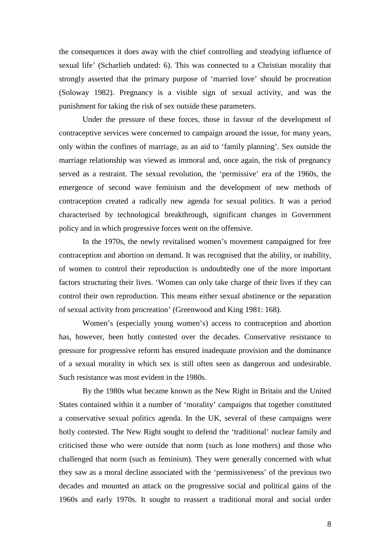the consequences it does away with the chief controlling and steadying influence of sexual life' (Scharlieb undated: 6). This was connected to a Christian morality that strongly asserted that the primary purpose of 'married love' should be procreation (Soloway 1982). Pregnancy is a visible sign of sexual activity, and was the punishment for taking the risk of sex outside these parameters.

Under the pressure of these forces, those in favour of the development of contraceptive services were concerned to campaign around the issue, for many years, only within the confines of marriage, as an aid to 'family planning'. Sex outside the marriage relationship was viewed as immoral and, once again, the risk of pregnancy served as a restraint. The sexual revolution, the 'permissive' era of the 1960s, the emergence of second wave feminism and the development of new methods of contraception created a radically new agenda for sexual politics. It was a period characterised by technological breakthrough, significant changes in Government policy and in which progressive forces went on the offensive.

 In the 1970s, the newly revitalised women's movement campaigned for free contraception and abortion on demand. It was recognised that the ability, or inability, of women to control their reproduction is undoubtedly one of the more important factors structuring their lives. 'Women can only take charge of their lives if they can control their own reproduction. This means either sexual abstinence or the separation of sexual activity from procreation' (Greenwood and King 1981: 168).

 Women's (especially young women's) access to contraception and abortion has, however, been hotly contested over the decades. Conservative resistance to pressure for progressive reform has ensured inadequate provision and the dominance of a sexual morality in which sex is still often seen as dangerous and undesirable. Such resistance was most evident in the 1980s.

By the 1980s what became known as the New Right in Britain and the United States contained within it a number of 'morality' campaigns that together constituted a conservative sexual politics agenda. In the UK, several of these campaigns were hotly contested. The New Right sought to defend the 'traditional' nuclear family and criticised those who were outside that norm (such as lone mothers) and those who challenged that norm (such as feminism). They were generally concerned with what they saw as a moral decline associated with the 'permissiveness' of the previous two decades and mounted an attack on the progressive social and political gains of the 1960s and early 1970s. It sought to reassert a traditional moral and social order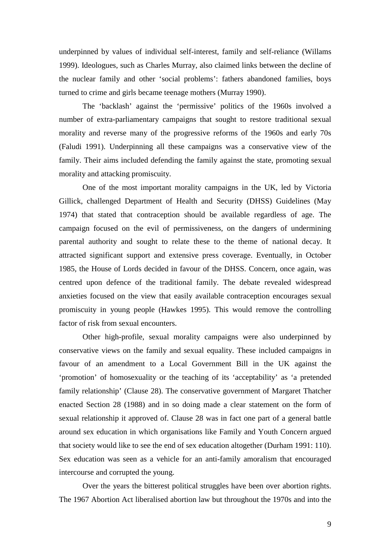underpinned by values of individual self-interest, family and self-reliance (Willams 1999). Ideologues, such as Charles Murray, also claimed links between the decline of the nuclear family and other 'social problems': fathers abandoned families, boys turned to crime and girls became teenage mothers (Murray 1990).

 The 'backlash' against the 'permissive' politics of the 1960s involved a number of extra-parliamentary campaigns that sought to restore traditional sexual morality and reverse many of the progressive reforms of the 1960s and early 70s (Faludi 1991). Underpinning all these campaigns was a conservative view of the family. Their aims included defending the family against the state, promoting sexual morality and attacking promiscuity.

One of the most important morality campaigns in the UK, led by Victoria Gillick, challenged Department of Health and Security (DHSS) Guidelines (May 1974) that stated that contraception should be available regardless of age. The campaign focused on the evil of permissiveness, on the dangers of undermining parental authority and sought to relate these to the theme of national decay. It attracted significant support and extensive press coverage. Eventually, in October 1985, the House of Lords decided in favour of the DHSS. Concern, once again, was centred upon defence of the traditional family. The debate revealed widespread anxieties focused on the view that easily available contraception encourages sexual promiscuity in young people (Hawkes 1995). This would remove the controlling factor of risk from sexual encounters.

 Other high-profile, sexual morality campaigns were also underpinned by conservative views on the family and sexual equality. These included campaigns in favour of an amendment to a Local Government Bill in the UK against the 'promotion' of homosexuality or the teaching of its 'acceptability' as 'a pretended family relationship' (Clause 28). The conservative government of Margaret Thatcher enacted Section 28 (1988) and in so doing made a clear statement on the form of sexual relationship it approved of. Clause 28 was in fact one part of a general battle around sex education in which organisations like Family and Youth Concern argued that society would like to see the end of sex education altogether (Durham 1991: 110). Sex education was seen as a vehicle for an anti-family amoralism that encouraged intercourse and corrupted the young.

 Over the years the bitterest political struggles have been over abortion rights. The 1967 Abortion Act liberalised abortion law but throughout the 1970s and into the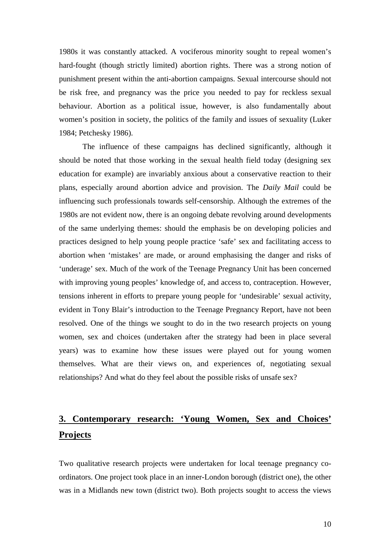1980s it was constantly attacked. A vociferous minority sought to repeal women's hard-fought (though strictly limited) abortion rights. There was a strong notion of punishment present within the anti-abortion campaigns. Sexual intercourse should not be risk free, and pregnancy was the price you needed to pay for reckless sexual behaviour. Abortion as a political issue, however, is also fundamentally about women's position in society, the politics of the family and issues of sexuality (Luker 1984; Petchesky 1986).

 The influence of these campaigns has declined significantly, although it should be noted that those working in the sexual health field today (designing sex education for example) are invariably anxious about a conservative reaction to their plans, especially around abortion advice and provision. The *Daily Mail* could be influencing such professionals towards self-censorship. Although the extremes of the 1980s are not evident now, there is an ongoing debate revolving around developments of the same underlying themes: should the emphasis be on developing policies and practices designed to help young people practice 'safe' sex and facilitating access to abortion when 'mistakes' are made, or around emphasising the danger and risks of 'underage' sex. Much of the work of the Teenage Pregnancy Unit has been concerned with improving young peoples' knowledge of, and access to, contraception. However, tensions inherent in efforts to prepare young people for 'undesirable' sexual activity, evident in Tony Blair's introduction to the Teenage Pregnancy Report, have not been resolved. One of the things we sought to do in the two research projects on young women, sex and choices (undertaken after the strategy had been in place several years) was to examine how these issues were played out for young women themselves. What are their views on, and experiences of, negotiating sexual relationships? And what do they feel about the possible risks of unsafe sex?

# **3. Contemporary research: 'Young Women, Sex and Choices' Projects**

Two qualitative research projects were undertaken for local teenage pregnancy coordinators. One project took place in an inner-London borough (district one), the other was in a Midlands new town (district two). Both projects sought to access the views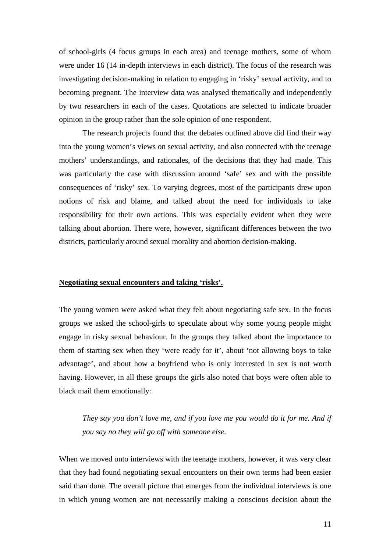of school-girls (4 focus groups in each area) and teenage mothers, some of whom were under 16 (14 in-depth interviews in each district). The focus of the research was investigating decision-making in relation to engaging in 'risky' sexual activity, and to becoming pregnant. The interview data was analysed thematically and independently by two researchers in each of the cases. Quotations are selected to indicate broader opinion in the group rather than the sole opinion of one respondent.

 The research projects found that the debates outlined above did find their way into the young women's views on sexual activity, and also connected with the teenage mothers' understandings, and rationales, of the decisions that they had made. This was particularly the case with discussion around 'safe' sex and with the possible consequences of 'risky' sex. To varying degrees, most of the participants drew upon notions of risk and blame, and talked about the need for individuals to take responsibility for their own actions. This was especially evident when they were talking about abortion. There were, however, significant differences between the two districts, particularly around sexual morality and abortion decision-making.

#### **Negotiating sexual encounters and taking 'risks'.**

The young women were asked what they felt about negotiating safe sex. In the focus groups we asked the school-girls to speculate about why some young people might engage in risky sexual behaviour. In the groups they talked about the importance to them of starting sex when they 'were ready for it', about 'not allowing boys to take advantage', and about how a boyfriend who is only interested in sex is not worth having. However, in all these groups the girls also noted that boys were often able to black mail them emotionally:

*They say you don't love me, and if you love me you would do it for me. And if you say no they will go off with someone else.* 

When we moved onto interviews with the teenage mothers, however, it was very clear that they had found negotiating sexual encounters on their own terms had been easier said than done. The overall picture that emerges from the individual interviews is one in which young women are not necessarily making a conscious decision about the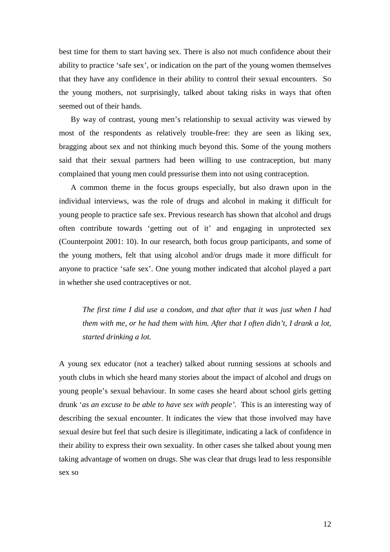best time for them to start having sex. There is also not much confidence about their ability to practice 'safe sex', or indication on the part of the young women themselves that they have any confidence in their ability to control their sexual encounters. So the young mothers, not surprisingly, talked about taking risks in ways that often seemed out of their hands.

By way of contrast, young men's relationship to sexual activity was viewed by most of the respondents as relatively trouble-free: they are seen as liking sex, bragging about sex and not thinking much beyond this. Some of the young mothers said that their sexual partners had been willing to use contraception, but many complained that young men could pressurise them into not using contraception.

A common theme in the focus groups especially, but also drawn upon in the individual interviews, was the role of drugs and alcohol in making it difficult for young people to practice safe sex. Previous research has shown that alcohol and drugs often contribute towards 'getting out of it' and engaging in unprotected sex (Counterpoint 2001: 10). In our research, both focus group participants, and some of the young mothers, felt that using alcohol and/or drugs made it more difficult for anyone to practice 'safe sex'. One young mother indicated that alcohol played a part in whether she used contraceptives or not.

*The first time I did use a condom, and that after that it was just when I had them with me, or he had them with him. After that I often didn't, I drank a lot, started drinking a lot.* 

A young sex educator (not a teacher) talked about running sessions at schools and youth clubs in which she heard many stories about the impact of alcohol and drugs on young people's sexual behaviour. In some cases she heard about school girls getting drunk '*as an excuse to be able to have sex with people'.* This is an interesting way of describing the sexual encounter. It indicates the view that those involved may have sexual desire but feel that such desire is illegitimate, indicating a lack of confidence in their ability to express their own sexuality. In other cases she talked about young men taking advantage of women on drugs. She was clear that drugs lead to less responsible sex so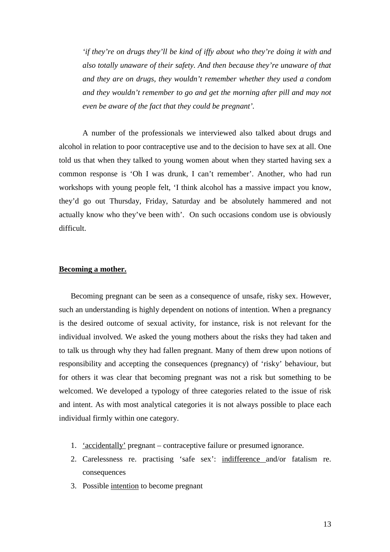*'if they're on drugs they'll be kind of iffy about who they're doing it with and also totally unaware of their safety. And then because they're unaware of that and they are on drugs, they wouldn't remember whether they used a condom and they wouldn't remember to go and get the morning after pill and may not even be aware of the fact that they could be pregnant'.* 

A number of the professionals we interviewed also talked about drugs and alcohol in relation to poor contraceptive use and to the decision to have sex at all. One told us that when they talked to young women about when they started having sex a common response is 'Oh I was drunk, I can't remember'. Another, who had run workshops with young people felt, 'I think alcohol has a massive impact you know, they'd go out Thursday, Friday, Saturday and be absolutely hammered and not actually know who they've been with'. On such occasions condom use is obviously difficult.

### **Becoming a mother.**

Becoming pregnant can be seen as a consequence of unsafe, risky sex. However, such an understanding is highly dependent on notions of intention. When a pregnancy is the desired outcome of sexual activity, for instance, risk is not relevant for the individual involved. We asked the young mothers about the risks they had taken and to talk us through why they had fallen pregnant. Many of them drew upon notions of responsibility and accepting the consequences (pregnancy) of 'risky' behaviour, but for others it was clear that becoming pregnant was not a risk but something to be welcomed. We developed a typology of three categories related to the issue of risk and intent. As with most analytical categories it is not always possible to place each individual firmly within one category.

- 1. 'accidentally' pregnant contraceptive failure or presumed ignorance.
- 2. Carelessness re. practising 'safe sex': indifference and/or fatalism re. consequences
- 3. Possible intention to become pregnant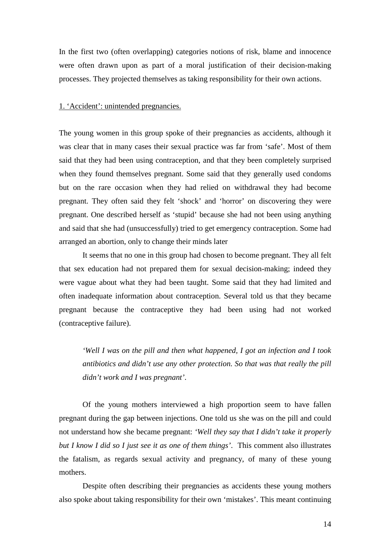In the first two (often overlapping) categories notions of risk, blame and innocence were often drawn upon as part of a moral justification of their decision-making processes. They projected themselves as taking responsibility for their own actions.

#### 1. 'Accident': unintended pregnancies.

The young women in this group spoke of their pregnancies as accidents, although it was clear that in many cases their sexual practice was far from 'safe'. Most of them said that they had been using contraception, and that they been completely surprised when they found themselves pregnant. Some said that they generally used condoms but on the rare occasion when they had relied on withdrawal they had become pregnant. They often said they felt 'shock' and 'horror' on discovering they were pregnant. One described herself as 'stupid' because she had not been using anything and said that she had (unsuccessfully) tried to get emergency contraception. Some had arranged an abortion, only to change their minds later

It seems that no one in this group had chosen to become pregnant. They all felt that sex education had not prepared them for sexual decision-making; indeed they were vague about what they had been taught. Some said that they had limited and often inadequate information about contraception. Several told us that they became pregnant because the contraceptive they had been using had not worked (contraceptive failure).

*'Well I was on the pill and then what happened, I got an infection and I took antibiotics and didn't use any other protection. So that was that really the pill didn't work and I was pregnant'*.

Of the young mothers interviewed a high proportion seem to have fallen pregnant during the gap between injections. One told us she was on the pill and could not understand how she became pregnant: *'Well they say that I didn't take it properly but I know I did so I just see it as one of them things'*. This comment also illustrates the fatalism, as regards sexual activity and pregnancy, of many of these young mothers.

Despite often describing their pregnancies as accidents these young mothers also spoke about taking responsibility for their own 'mistakes'. This meant continuing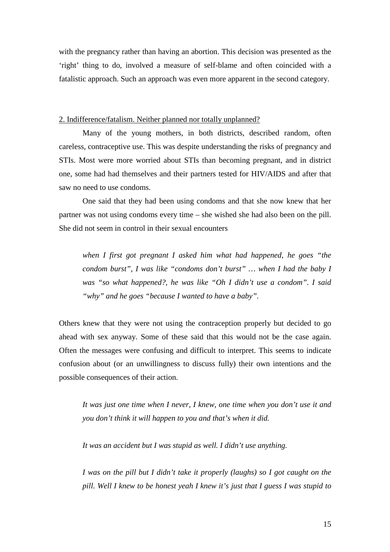with the pregnancy rather than having an abortion. This decision was presented as the 'right' thing to do, involved a measure of self-blame and often coincided with a fatalistic approach. Such an approach was even more apparent in the second category.

#### 2. Indifference/fatalism. Neither planned nor totally unplanned?

 Many of the young mothers, in both districts, described random, often careless, contraceptive use. This was despite understanding the risks of pregnancy and STIs. Most were more worried about STIs than becoming pregnant, and in district one, some had had themselves and their partners tested for HIV/AIDS and after that saw no need to use condoms.

 One said that they had been using condoms and that she now knew that her partner was not using condoms every time – she wished she had also been on the pill. She did not seem in control in their sexual encounters

*when I first got pregnant I asked him what had happened, he goes "the condom burst", I was like "condoms don't burst" … when I had the baby I was "so what happened?, he was like "Oh I didn't use a condom". I said "why" and he goes "because I wanted to have a baby".*

Others knew that they were not using the contraception properly but decided to go ahead with sex anyway. Some of these said that this would not be the case again. Often the messages were confusing and difficult to interpret. This seems to indicate confusion about (or an unwillingness to discuss fully) their own intentions and the possible consequences of their action.

*It was just one time when I never, I knew, one time when you don't use it and you don't think it will happen to you and that's when it did.* 

 *It was an accident but I was stupid as well. I didn't use anything.* 

 *I was on the pill but I didn't take it properly (laughs) so I got caught on the pill. Well I knew to be honest yeah I knew it's just that I guess I was stupid to*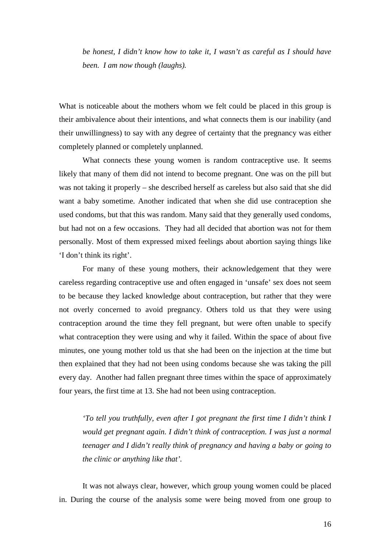*be honest, I didn't know how to take it, I wasn't as careful as I should have been. I am now though (laughs).*

What is noticeable about the mothers whom we felt could be placed in this group is their ambivalence about their intentions, and what connects them is our inability (and their unwillingness) to say with any degree of certainty that the pregnancy was either completely planned or completely unplanned.

What connects these young women is random contraceptive use. It seems likely that many of them did not intend to become pregnant. One was on the pill but was not taking it properly – she described herself as careless but also said that she did want a baby sometime. Another indicated that when she did use contraception she used condoms, but that this was random. Many said that they generally used condoms, but had not on a few occasions. They had all decided that abortion was not for them personally. Most of them expressed mixed feelings about abortion saying things like 'I don't think its right'.

For many of these young mothers, their acknowledgement that they were careless regarding contraceptive use and often engaged in 'unsafe' sex does not seem to be because they lacked knowledge about contraception, but rather that they were not overly concerned to avoid pregnancy. Others told us that they were using contraception around the time they fell pregnant, but were often unable to specify what contraception they were using and why it failed. Within the space of about five minutes, one young mother told us that she had been on the injection at the time but then explained that they had not been using condoms because she was taking the pill every day. Another had fallen pregnant three times within the space of approximately four years, the first time at 13. She had not been using contraception.

*'To tell you truthfully, even after I got pregnant the first time I didn't think I would get pregnant again. I didn't think of contraception. I was just a normal teenager and I didn't really think of pregnancy and having a baby or going to the clinic or anything like that'.* 

 It was not always clear, however, which group young women could be placed in. During the course of the analysis some were being moved from one group to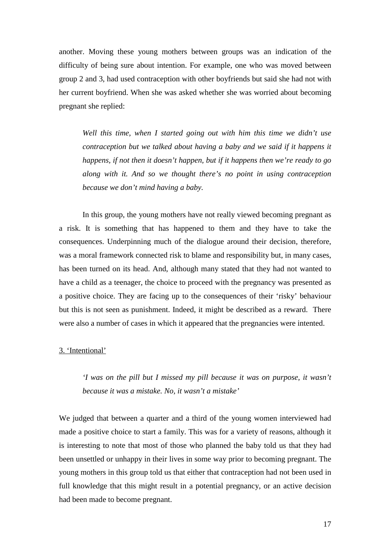another. Moving these young mothers between groups was an indication of the difficulty of being sure about intention. For example, one who was moved between group 2 and 3, had used contraception with other boyfriends but said she had not with her current boyfriend. When she was asked whether she was worried about becoming pregnant she replied:

*Well this time, when I started going out with him this time we didn't use contraception but we talked about having a baby and we said if it happens it happens, if not then it doesn't happen, but if it happens then we're ready to go along with it. And so we thought there's no point in using contraception because we don't mind having a baby.* 

In this group, the young mothers have not really viewed becoming pregnant as a risk. It is something that has happened to them and they have to take the consequences. Underpinning much of the dialogue around their decision, therefore, was a moral framework connected risk to blame and responsibility but, in many cases, has been turned on its head. And, although many stated that they had not wanted to have a child as a teenager, the choice to proceed with the pregnancy was presented as a positive choice. They are facing up to the consequences of their 'risky' behaviour but this is not seen as punishment. Indeed, it might be described as a reward. There were also a number of cases in which it appeared that the pregnancies were intented.

#### 3. 'Intentional'

*'I was on the pill but I missed my pill because it was on purpose, it wasn't because it was a mistake. No, it wasn't a mistake'* 

We judged that between a quarter and a third of the young women interviewed had made a positive choice to start a family. This was for a variety of reasons, although it is interesting to note that most of those who planned the baby told us that they had been unsettled or unhappy in their lives in some way prior to becoming pregnant. The young mothers in this group told us that either that contraception had not been used in full knowledge that this might result in a potential pregnancy, or an active decision had been made to become pregnant.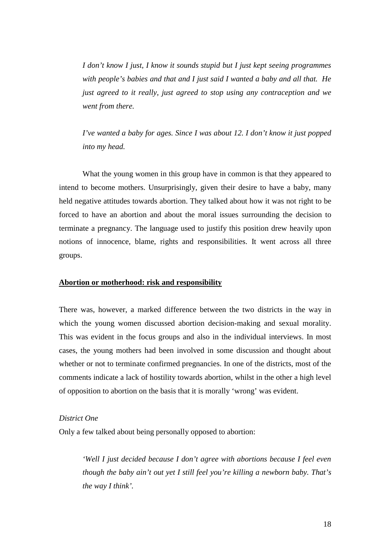*I don't know I just, I know it sounds stupid but I just kept seeing programmes with people's babies and that and I just said I wanted a baby and all that. He just agreed to it really, just agreed to stop using any contraception and we went from there.* 

*I've wanted a baby for ages. Since I was about 12. I don't know it just popped into my head.*

What the young women in this group have in common is that they appeared to intend to become mothers. Unsurprisingly, given their desire to have a baby, many held negative attitudes towards abortion. They talked about how it was not right to be forced to have an abortion and about the moral issues surrounding the decision to terminate a pregnancy. The language used to justify this position drew heavily upon notions of innocence, blame, rights and responsibilities. It went across all three groups.

#### **Abortion or motherhood: risk and responsibility**

There was, however, a marked difference between the two districts in the way in which the young women discussed abortion decision-making and sexual morality. This was evident in the focus groups and also in the individual interviews. In most cases, the young mothers had been involved in some discussion and thought about whether or not to terminate confirmed pregnancies. In one of the districts, most of the comments indicate a lack of hostility towards abortion, whilst in the other a high level of opposition to abortion on the basis that it is morally 'wrong' was evident.

#### *District One*

Only a few talked about being personally opposed to abortion:

*'Well I just decided because I don't agree with abortions because I feel even though the baby ain't out yet I still feel you're killing a newborn baby. That's the way I think'.*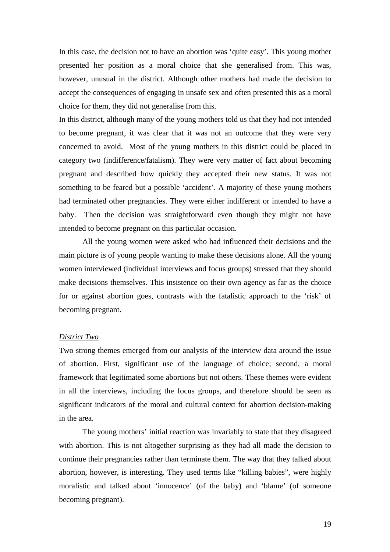In this case, the decision not to have an abortion was 'quite easy'. This young mother presented her position as a moral choice that she generalised from. This was, however, unusual in the district. Although other mothers had made the decision to accept the consequences of engaging in unsafe sex and often presented this as a moral choice for them, they did not generalise from this.

In this district, although many of the young mothers told us that they had not intended to become pregnant, it was clear that it was not an outcome that they were very concerned to avoid. Most of the young mothers in this district could be placed in category two (indifference/fatalism). They were very matter of fact about becoming pregnant and described how quickly they accepted their new status. It was not something to be feared but a possible 'accident'. A majority of these young mothers had terminated other pregnancies. They were either indifferent or intended to have a baby. Then the decision was straightforward even though they might not have intended to become pregnant on this particular occasion.

 All the young women were asked who had influenced their decisions and the main picture is of young people wanting to make these decisions alone. All the young women interviewed (individual interviews and focus groups) stressed that they should make decisions themselves. This insistence on their own agency as far as the choice for or against abortion goes, contrasts with the fatalistic approach to the 'risk' of becoming pregnant.

#### *District Two*

Two strong themes emerged from our analysis of the interview data around the issue of abortion. First, significant use of the language of choice; second, a moral framework that legitimated some abortions but not others. These themes were evident in all the interviews, including the focus groups, and therefore should be seen as significant indicators of the moral and cultural context for abortion decision-making in the area.

 The young mothers' initial reaction was invariably to state that they disagreed with abortion. This is not altogether surprising as they had all made the decision to continue their pregnancies rather than terminate them. The way that they talked about abortion, however, is interesting. They used terms like "killing babies", were highly moralistic and talked about 'innocence' (of the baby) and 'blame' (of someone becoming pregnant).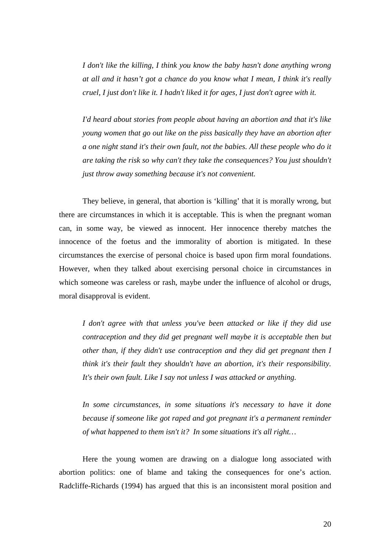*I don't like the killing, I think you know the baby hasn't done anything wrong at all and it hasn't got a chance do you know what I mean, I think it's really cruel, I just don't like it. I hadn't liked it for ages, I just don't agree with it.* 

*I'd heard about stories from people about having an abortion and that it's like young women that go out like on the piss basically they have an abortion after a one night stand it's their own fault, not the babies. All these people who do it are taking the risk so why can't they take the consequences? You just shouldn't just throw away something because it's not convenient.* 

They believe, in general, that abortion is 'killing' that it is morally wrong, but there are circumstances in which it is acceptable. This is when the pregnant woman can, in some way, be viewed as innocent. Her innocence thereby matches the innocence of the foetus and the immorality of abortion is mitigated. In these circumstances the exercise of personal choice is based upon firm moral foundations. However, when they talked about exercising personal choice in circumstances in which someone was careless or rash, maybe under the influence of alcohol or drugs, moral disapproval is evident.

*I don't agree with that unless you've been attacked or like if they did use contraception and they did get pregnant well maybe it is acceptable then but other than, if they didn't use contraception and they did get pregnant then I think it's their fault they shouldn't have an abortion, it's their responsibility. It's their own fault. Like I say not unless I was attacked or anything.* 

*In some circumstances, in some situations it's necessary to have it done because if someone like got raped and got pregnant it's a permanent reminder of what happened to them isn't it? In some situations it's all right…* 

Here the young women are drawing on a dialogue long associated with abortion politics: one of blame and taking the consequences for one's action. Radcliffe-Richards (1994) has argued that this is an inconsistent moral position and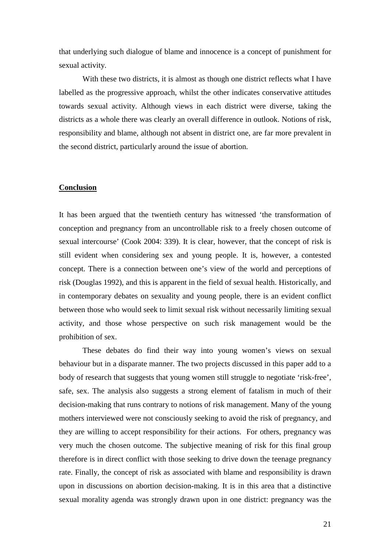that underlying such dialogue of blame and innocence is a concept of punishment for sexual activity.

With these two districts, it is almost as though one district reflects what I have labelled as the progressive approach, whilst the other indicates conservative attitudes towards sexual activity. Although views in each district were diverse, taking the districts as a whole there was clearly an overall difference in outlook. Notions of risk, responsibility and blame, although not absent in district one, are far more prevalent in the second district, particularly around the issue of abortion.

#### **Conclusion**

It has been argued that the twentieth century has witnessed 'the transformation of conception and pregnancy from an uncontrollable risk to a freely chosen outcome of sexual intercourse' (Cook 2004: 339). It is clear, however, that the concept of risk is still evident when considering sex and young people. It is, however, a contested concept. There is a connection between one's view of the world and perceptions of risk (Douglas 1992), and this is apparent in the field of sexual health. Historically, and in contemporary debates on sexuality and young people, there is an evident conflict between those who would seek to limit sexual risk without necessarily limiting sexual activity, and those whose perspective on such risk management would be the prohibition of sex.

These debates do find their way into young women's views on sexual behaviour but in a disparate manner. The two projects discussed in this paper add to a body of research that suggests that young women still struggle to negotiate 'risk-free', safe, sex. The analysis also suggests a strong element of fatalism in much of their decision-making that runs contrary to notions of risk management. Many of the young mothers interviewed were not consciously seeking to avoid the risk of pregnancy, and they are willing to accept responsibility for their actions. For others, pregnancy was very much the chosen outcome. The subjective meaning of risk for this final group therefore is in direct conflict with those seeking to drive down the teenage pregnancy rate. Finally, the concept of risk as associated with blame and responsibility is drawn upon in discussions on abortion decision-making. It is in this area that a distinctive sexual morality agenda was strongly drawn upon in one district: pregnancy was the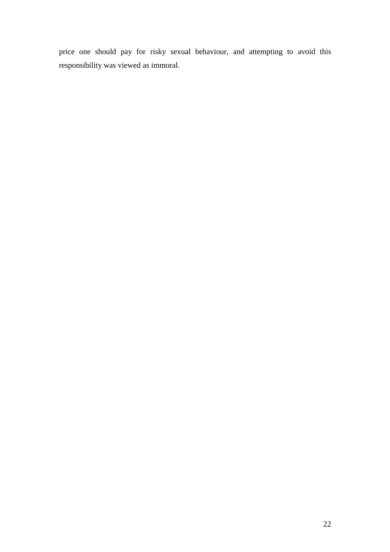price one should pay for risky sexual behaviour, and attempting to avoid this responsibility was viewed as immoral.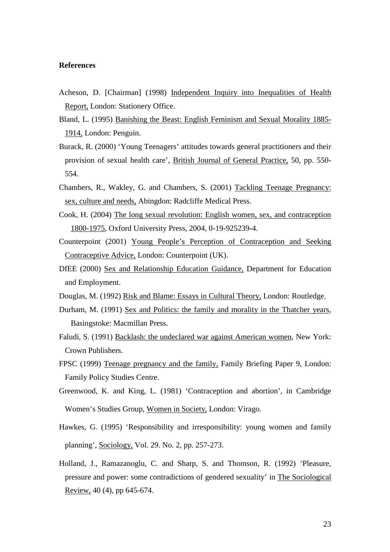#### **References**

- Acheson, D. [Chairman] (1998) Independent Inquiry into Inequalities of Health Report, London: Stationery Office.
- Bland, L. (1995) Banishing the Beast: English Feminism and Sexual Morality 1885- 1914, London: Penguin.
- Burack, R. (2000) 'Young Teenagers' attitudes towards general practitioners and their provision of sexual health care', British Journal of General Practice, 50, pp. 550- 554.
- Chambers, R., Wakley, G. and Chambers, S. (2001) Tackling Teenage Pregnancy: sex, culture and needs, Abingdon: Radcliffe Medical Press.
- Cook, H. (2004) The long sexual revolution: English women, sex, and contraception 1800-1975*,* Oxford University Press, 2004, 0-19-925239-4.
- Counterpoint (2001) Young People's Perception of Contraception and Seeking Contraceptive Advice, London: Counterpoint (UK).
- DfEE (2000) Sex and Relationship Education Guidance, Department for Education and Employment.
- Douglas, M. (1992) Risk and Blame: Essays in Cultural Theory, London: Routledge.
- Durham, M. (1991) Sex and Politics: the family and morality in the Thatcher years, Basingstoke: Macmillan Press.
- Faludi, S. (1991) Backlash: the undeclared war against American women, New York: Crown Publishers.
- FPSC (1999) Teenage pregnancy and the family, Family Briefing Paper 9, London: Family Policy Studies Centre.
- Greenwood, K. and King, L. (1981) 'Contraception and abortion', in Cambridge Women's Studies Group, Women in Society, London: Virago.
- Hawkes, G. (1995) 'Responsibility and irresponsibility: young women and family planning', Sociology, Vol. 29. No. 2, pp. 257-273.
- Holland, J., Ramazanoglu, C. and Sharp, S. and Thomson, R. (1992) 'Pleasure, pressure and power: some contradictions of gendered sexuality' in The Sociological Review, 40 (4), pp 645-674.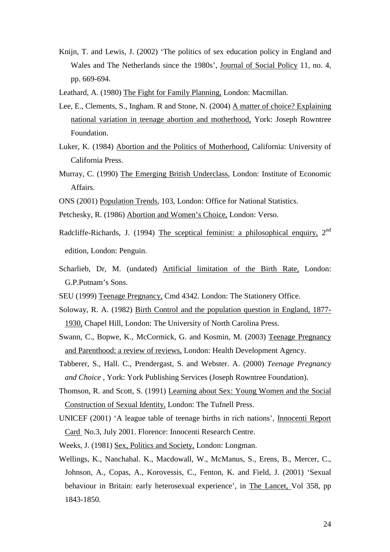- Knijn, T. and Lewis, J. (2002) 'The politics of sex education policy in England and Wales and The Netherlands since the 1980s', Journal of Social Policy 11, no. 4, pp. 669-694.
- Leathard, A. (1980) The Fight for Family Planning, London: Macmillan.
- Lee, E., Clements, S., Ingham. R and Stone, N. (2004) A matter of choice? Explaining national variation in teenage abortion and motherhood, York: Joseph Rowntree Foundation.
- Luker, K. (1984) Abortion and the Politics of Motherhood, California: University of California Press.
- Murray, C. (1990) The Emerging British Underclass, London: Institute of Economic Affairs.
- ONS (2001) Population Trends*,* 103, London: Office for National Statistics.
- Petchesky, R. (1986) Abortion and Women's Choice, London: Verso.
- Radcliffe-Richards, J. (1994) The sceptical feminist: a philosophical enquiry, 2<sup>nd</sup> edition, London: Penguin.
- Scharlieb, Dr, M. (undated) Artificial limitation of the Birth Rate, London: G.P.Putnam's Sons.
- SEU (1999) Teenage Pregnancy, Cmd 4342. London: The Stationery Office.
- Soloway, R. A. (1982) Birth Control and the population question in England, 1877- 1930, Chapel Hill, London: The University of North Carolina Press.
- Swann, C., Bopwe, K., McCormick, G. and Kosmin, M. (2003) Teenage Pregnancy and Parenthood: a review of reviews, London: Health Development Agency.
- Tabberer, S., Hall. C., Prendergast, S. and Webster. A. (2000) *Teenage Pregnancy and Choice ,* York: York Publishing Services (Joseph Rowntree Foundation).
- Thomson, R. and Scott, S. (1991) Learning about Sex: Young Women and the Social Construction of Sexual Identity, London: The Tufnell Press.
- UNICEF (2001) 'A league table of teenage births in rich nations', Innocenti Report Card No.3, July 2001. Florence: Innocenti Research Centre.
- Weeks, J. (1981) Sex, Politics and Society, London: Longman.
- Wellings, K., Nanchahal. K., Macdowall, W., McManus, S., Erens, B., Mercer, C., Johnson, A., Copas, A., Korovessis, C., Fenton, K. and Field, J. (2001) 'Sexual behaviour in Britain: early heterosexual experience', in The Lancet, Vol 358, pp 1843-1850.